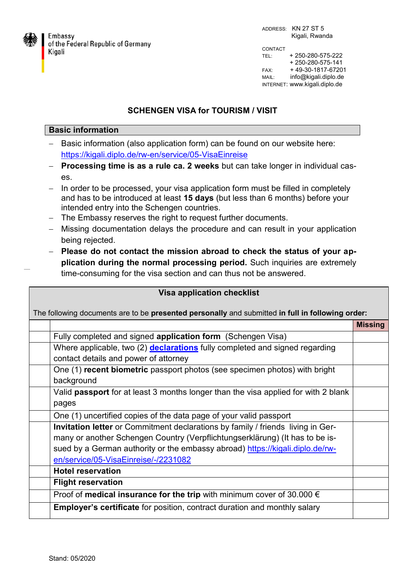

ADDRESS: KN 27 ST 5 Kigali, Rwanda CONTACT TEL: + 250-280-575-222 + 250-280-575-141 FAX: + 49-30-1817-67201 MAIL: info@kigali.diplo.de INTERNET: www.kigali.diplo.de

## **SCHENGEN VISA for TOURISM / VISIT**

## **Basic information**

- Basic information (also application form) can be found on our website here: <https://kigali.diplo.de/rw-en/service/05-VisaEinreise>
- **Processing time is as a rule ca. 2 weeks** but can take longer in individual cases.
- In order to be processed, your visa application form must be filled in completely and has to be introduced at least **15 days** (but less than 6 months) before your intended entry into the Schengen countries.
- The Embassy reserves the right to request further documents.
- Missing documentation delays the procedure and can result in your application being rejected.
- **Please do not contact the mission abroad to check the status of your application during the normal processing period.** Such inquiries are extremely time-consuming for the visa section and can thus not be answered.

| <b>Visa application checklist</b>                                                                |                                                                                    |                |  |
|--------------------------------------------------------------------------------------------------|------------------------------------------------------------------------------------|----------------|--|
| The following documents are to be presented personally and submitted in full in following order: |                                                                                    |                |  |
|                                                                                                  |                                                                                    | <b>Missing</b> |  |
|                                                                                                  | Fully completed and signed application form (Schengen Visa)                        |                |  |
|                                                                                                  | Where applicable, two (2) <b>declarations</b> fully completed and signed regarding |                |  |
|                                                                                                  | contact details and power of attorney                                              |                |  |
|                                                                                                  | One (1) recent biometric passport photos (see specimen photos) with bright         |                |  |
|                                                                                                  | background                                                                         |                |  |
|                                                                                                  | Valid passport for at least 3 months longer than the visa applied for with 2 blank |                |  |
|                                                                                                  | pages                                                                              |                |  |
|                                                                                                  | One (1) uncertified copies of the data page of your valid passport                 |                |  |
|                                                                                                  | Invitation letter or Commitment declarations by family / friends living in Ger-    |                |  |
|                                                                                                  | many or another Schengen Country (Verpflichtungserklärung) (It has to be is-       |                |  |
|                                                                                                  | sued by a German authority or the embassy abroad) https://kigali.diplo.de/rw-      |                |  |
|                                                                                                  | en/service/05-VisaEinreise/-/2231082                                               |                |  |
|                                                                                                  | <b>Hotel reservation</b>                                                           |                |  |
|                                                                                                  | <b>Flight reservation</b>                                                          |                |  |
|                                                                                                  | Proof of medical insurance for the trip with minimum cover of 30.000 $\epsilon$    |                |  |
|                                                                                                  | <b>Employer's certificate</b> for position, contract duration and monthly salary   |                |  |